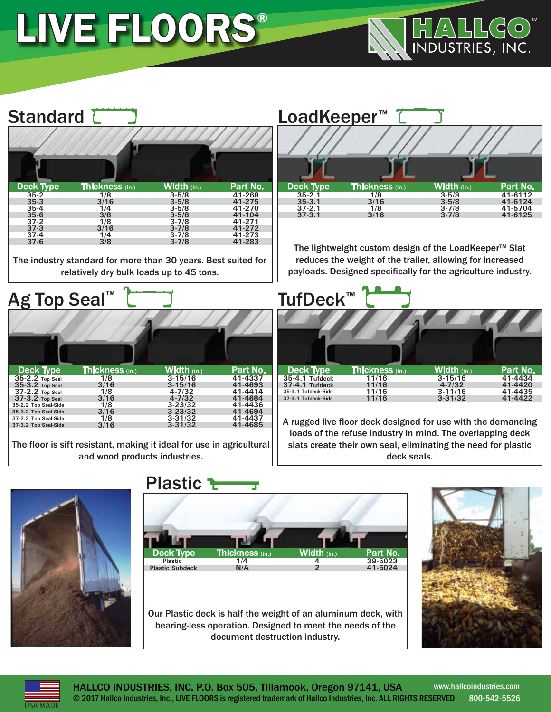# **LEAK -RESIS TA NT LEAK -RESIS TA NT Deck Type Thickness** (in.) **Width** (in.) **Height** (in.) **Part No.**  $\bullet$ 3.5 TR 3/16  $\bullet$  3.5 TR 3/16  $\bullet$  3.5 TR 3/16  $\bullet$  3.5 TR 3/16  $\bullet$  3.5 TR 3/16  $\bullet$  3.5 TR 3/16  $\bullet$  3.5 TR 3/16  $\bullet$  3.5 TR 3/16  $\bullet$  3.5 TR 3/16  $\bullet$  3.5 TR 3/16  $\bullet$  3.5 TR 3/16  $\bullet$  3.5 TR 3/16  $\bullet$  3.5 TR 3/16 37-3 TR 3/16 3-7/8 1-13/16 41-4167 40-3 TR 3/16 3-15/16 1-13/16 41-4184 1-13/16 41-4 1-7/8 41-3958 1-13/16 41-3482 **®** LIVE FLOORS



35-3 3/16 3-5/8

# **Deck Type Thickness** (in.) **Width** (in.) **Height** (in.) **Part No. Deck Type Thickness** (in.) **Width** (in.) **Height** (in.) **Part No.**  $C$ **t** Standard

1-7/8 41-3795

Recommended for use in the solid waste/recycling

| <b>Deck Type</b> | <b>Thickness (in.)</b> | Width (in.) | Part No. | <b>Deck Type</b>                 | <b>Thickne</b>                                    |
|------------------|------------------------|-------------|----------|----------------------------------|---------------------------------------------------|
| $35 - 2$         | 1/8                    | $3 - 5/8$   | 41-268   | $35 - 2.1$                       | 1/8                                               |
| $35 - 3$         | 3/16                   | $3 - 5/8$   | 41-275   | $35 - 3.1$                       | $\frac{3}{1/8}$<br>$\frac{1}{8}$<br>$\frac{3}{1}$ |
| $35 - 4$         | 1/4                    | $3 - 5/8$   | 41-270   | $37 - 2.1$                       |                                                   |
| $35 - 6$         | 3/8                    | $3 - 5/8$   | 41-104   | $37 - 3.1$                       |                                                   |
| $37 - 2$         | 1/8                    | $3 - 7/8$   | 41-271   |                                  |                                                   |
| $37 - 3$         | 3/16                   | $3 - 7/8$   | 41-272   |                                  |                                                   |
| $37 - 4$         | 1/4                    | $3 - 7/8$   | 41-273   |                                  |                                                   |
| $37 - 6$         | 3/8                    | $3 - 7/8$   | 41-283   |                                  |                                                   |
|                  |                        |             |          | The contractor of the contractor |                                                   |

clean unloading. clean unloading. The industry standard for more than 30 years. Best suited for relatively dry bulk loads up to 45 tons.

| Ag Top Seal™         |                 |                    |          | TufDeck™                    |                  |
|----------------------|-----------------|--------------------|----------|-----------------------------|------------------|
|                      |                 |                    |          |                             |                  |
| <b>Deck Type</b>     | Thickness (in.) | <b>Width (in.)</b> | Part No. | <b>Deck Type</b>            | <b>Thickness</b> |
| 35-2.2 Top Seal      | 1/8             | $3 - 15/16$        | 41-4337  | 35-4.1 Tufdeck              | 11/16            |
| 35-3.2 Top Seal      | 3/16            | $3 - 15/16$        | 41-4693  | 37-4.1 Tufdeck              | 11/16            |
| 37-2.2 Top Seal      | 1/8             | $4 - 7/32$         | 41-4414  | 35-4.1 Tufdeck-Side         | 11/16            |
| 37-3.2 Top Seal      | 3/16            | $4 - 7/32$         | 41-4684  | 37-4.1 Tufdeck-Side         | 11/16            |
| 35-2.2 Top Seal-Side | 1/8             | $3 - 23/32$        | 41-4436  |                             |                  |
| 35-3.2 Top Seal-Side | 3/16            | $3 - 23/32$        | 41-4694  |                             |                  |
| 37-2.2 Top Seal-Side | 1/8             | $3 - 31/32$        | 41-4437  | A rugged live floor deck de |                  |
| 37-3.2 Top Seal-Side | 3/16            | $3 - 31/32$        | 41-4685  |                             |                  |
|                      |                 |                    |          | loads of the refuse indus   |                  |
|                      |                 |                    |          |                             |                  |

The floor is sift resistant, making it ideal for use in agricultural and wood products industries.



The lightweight custom design of the LoadKeeper<sup>TM</sup> Slat. reduces the weight of the trailer, allowing for increased  $\overline{\phantom{a}}$ 37-2 1/8 3-7/8 payloads. Designed specifically for the agriculture industry.  $\vert$ but with the addition of a 5/8" solid ridge running the 35-4 DR 1/4 3-5/8 1-7/8 41-3958  $37.3$  Dr. 33.8 and 3.9  $\mu$  because  $\mu$  and  $\mu$ The lightweight custom design of the LoadKeeper™ Slat

40-4 DR 1/4 3-15/16 1-7/8 41-3795

37-3 3/16 3-7/8



 $\frac{1.4437}{1.4685}$  | | A rugged live floor deck designed for use with the demanding |  $\vert \vert$  loads of the refuse industry in mind. The overlapping deck slats create their own seal, eliminating the need for plastic  $\parallel$ A rugged live floor deck designed for use with the 35-4 Tufdeck 1/4 3-15/16 1-13/16 41-4434  $\overline{\phantom{a}}$  a run the  $\overline{\phantom{a}}$ deck seals.



# 35-3 Top Seal - Side 3/16 3-23/32 N/A 41-4694  $35-3$  Top Seal - Side 3/16  $\pm$  3/16  $\pm$  3/16  $\pm$  3/16  $\pm$  3/16  $\pm$  3/16  $\pm$ **PLAS TIC LEAK -RESIS TA NT** Plastic



Dur Plastic deck is half the weight of an aluminum deck, with bearing-less operation. Designed to meet the needs of the **Example 2018 Manual Account Section Section Section Section Section Section Section Section Section Section Section Section Section Section Section Section Section Section Section Section Section Section Section Section S Example 2018** Our Plastic deck is half the weight of an aluminum deck, with bearing-less operation. Designed to meet the needs of the with bearing-less operation. Designed to meet the needs of  $\mathcal{L}_\mathbf{p}$ document destruction industry. **The contract of the state of the contract of the state of the state of the state of the state of the state of the state of the state of the state of the state of the state of the state of th** 





**TUFDECK ™**